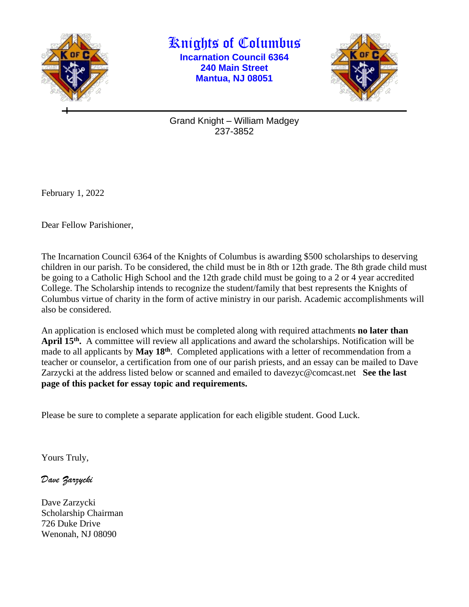

Knights of Columbus **Incarnation Council 6364 240 Main Street Mantua, NJ 08051**



Grand Knight – William Madgey 237-3852

February 1, 2022

Dear Fellow Parishioner,

The Incarnation Council 6364 of the Knights of Columbus is awarding \$500 scholarships to deserving children in our parish. To be considered, the child must be in 8th or 12th grade. The 8th grade child must be going to a Catholic High School and the 12th grade child must be going to a 2 or 4 year accredited College. The Scholarship intends to recognize the student/family that best represents the Knights of Columbus virtue of charity in the form of active ministry in our parish. Academic accomplishments will also be considered.

An application is enclosed which must be completed along with required attachments **no later than**  April 15<sup>th</sup>. A committee will review all applications and award the scholarships. Notification will be made to all applicants by **May 18th** . Completed applications with a letter of recommendation from a teacher or counselor, a certification from one of our parish priests, and an essay can be mailed to Dave Zarzycki at the address listed below or scanned and emailed to davezyc@comcast.net **See the last page of this packet for essay topic and requirements.**

Please be sure to complete a separate application for each eligible student. Good Luck.

Yours Truly,

*Dave Zarzycki*

Dave Zarzycki Scholarship Chairman 726 Duke Drive Wenonah, NJ 08090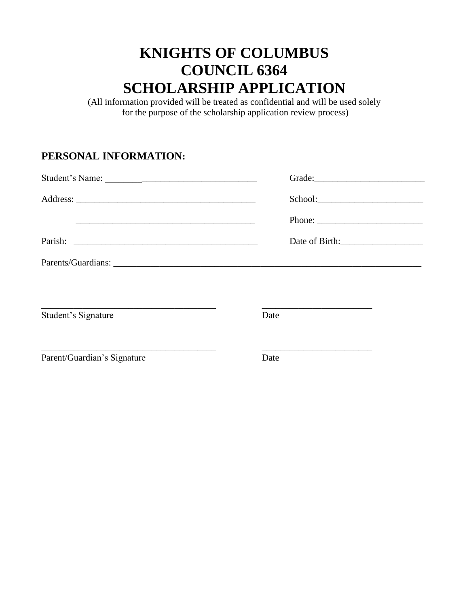## **KNIGHTS OF COLUMBUS COUNCIL 6364 SCHOLARSHIP APPLICATION**

(All information provided will be treated as confidential and will be used solely for the purpose of the scholarship application review process)

## **PERSONAL INFORMATION:**

| <u> 1989 - Johann Harry Harry Harry Harry Harry Harry Harry Harry Harry Harry Harry Harry Harry Harry Harry Harry</u> |                                                                                                   |  |
|-----------------------------------------------------------------------------------------------------------------------|---------------------------------------------------------------------------------------------------|--|
|                                                                                                                       |                                                                                                   |  |
|                                                                                                                       | Date of Birth:                                                                                    |  |
|                                                                                                                       |                                                                                                   |  |
|                                                                                                                       |                                                                                                   |  |
| Student's Signature                                                                                                   | Date                                                                                              |  |
| Parent/Guardian's Signature                                                                                           | the control of the control of the control of the control of the control of the control of<br>Date |  |
|                                                                                                                       |                                                                                                   |  |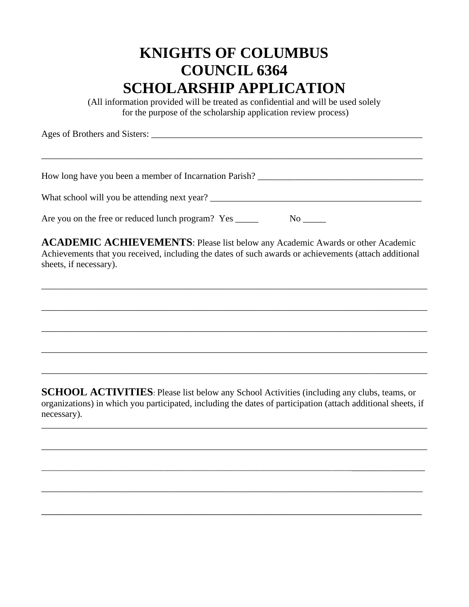## **KNIGHTS OF COLUMBUS COUNCIL 6364 SCHOLARSHIP APPLICATION**

(All information provided will be treated as confidential and will be used solely for the purpose of the scholarship application review process)

| Ages of Brothers and Sisters:                          |  |
|--------------------------------------------------------|--|
|                                                        |  |
|                                                        |  |
| How long have you been a member of Incarnation Parish? |  |
| What school will you be attending next year?           |  |

Are you on the free or reduced lunch program? Yes \_\_\_\_\_\_\_\_\_ No \_\_\_\_\_

**ACADEMIC ACHIEVEMENTS**: Please list below any Academic Awards or other Academic Achievements that you received, including the dates of such awards or achievements (attach additional sheets, if necessary).

\_\_\_\_\_\_\_\_\_\_\_\_\_\_\_\_\_\_\_\_\_\_\_\_\_\_\_\_\_\_\_\_\_\_\_\_\_\_\_\_\_\_\_\_\_\_\_\_\_\_\_\_\_\_\_\_\_\_\_\_\_\_\_\_\_\_\_\_\_\_\_\_\_\_\_\_\_\_\_\_\_\_\_\_

\_\_\_\_\_\_\_\_\_\_\_\_\_\_\_\_\_\_\_\_\_\_\_\_\_\_\_\_\_\_\_\_\_\_\_\_\_\_\_\_\_\_\_\_\_\_\_\_\_\_\_\_\_\_\_\_\_\_\_\_\_\_\_\_\_\_\_\_\_\_\_\_\_\_\_\_\_\_\_\_\_\_\_\_

\_\_\_\_\_\_\_\_\_\_\_\_\_\_\_\_\_\_\_\_\_\_\_\_\_\_\_\_\_\_\_\_\_\_\_\_\_\_\_\_\_\_\_\_\_\_\_\_\_\_\_\_\_\_\_\_\_\_\_\_\_\_\_\_\_\_\_\_\_\_\_\_\_\_\_\_\_\_\_\_\_\_\_\_

\_\_\_\_\_\_\_\_\_\_\_\_\_\_\_\_\_\_\_\_\_\_\_\_\_\_\_\_\_\_\_\_\_\_\_\_\_\_\_\_\_\_\_\_\_\_\_\_\_\_\_\_\_\_\_\_\_\_\_\_\_\_\_\_\_\_\_\_\_\_\_\_\_\_\_\_\_\_\_\_\_\_\_\_

\_\_\_\_\_\_\_\_\_\_\_\_\_\_\_\_\_\_\_\_\_\_\_\_\_\_\_\_\_\_\_\_\_\_\_\_\_\_\_\_\_\_\_\_\_\_\_\_\_\_\_\_\_\_\_\_\_\_\_\_\_\_\_\_\_\_\_\_\_\_\_\_\_\_\_\_\_\_\_\_\_\_\_\_

**SCHOOL ACTIVITIES**: Please list below any School Activities (including any clubs, teams, or organizations) in which you participated, including the dates of participation (attach additional sheets, if necessary).

\_\_\_\_\_\_\_\_\_\_\_\_\_\_\_\_\_\_\_\_\_\_\_\_\_\_\_\_\_\_\_\_\_\_\_\_\_\_\_\_\_\_\_\_\_\_\_\_\_\_\_\_\_\_\_\_\_\_\_\_\_\_\_\_\_\_\_\_\_\_\_\_\_\_\_\_\_\_\_\_\_\_\_\_

\_\_\_\_\_\_\_\_\_\_\_\_\_\_\_\_\_\_\_\_\_\_\_\_\_\_\_\_\_\_\_\_\_\_\_\_\_\_\_\_\_\_\_\_\_\_\_\_\_\_\_\_\_\_\_\_\_\_\_\_\_\_\_\_\_\_\_\_\_\_\_\_\_\_\_\_\_\_\_\_\_\_\_\_

\_\_\_\_\_\_\_\_\_\_\_\_\_\_\_\_\_\_\_\_\_\_\_\_\_\_\_\_\_\_\_\_\_\_\_\_\_\_\_\_\_\_\_\_\_\_\_\_\_\_\_\_\_\_\_\_\_\_\_\_\_\_\_\_\_\_\_\_\_\_\_\_\_\_\_\_\_\_\_\_\_\_\_\_\_\_\_\_\_\_\_\_\_\_\_\_\_

\_\_\_\_\_\_\_\_\_\_\_\_\_\_\_\_\_\_\_\_\_\_\_\_\_\_\_\_\_\_\_\_\_\_\_\_\_\_\_\_\_\_\_\_\_\_\_\_\_\_\_\_\_\_\_\_\_\_\_\_\_\_\_\_\_\_\_\_\_\_\_\_\_\_\_\_\_\_\_\_\_\_\_

\_\_\_\_\_\_\_\_\_\_\_\_\_\_\_\_\_\_\_\_\_\_\_\_\_\_\_\_\_\_\_\_\_\_\_\_\_\_\_\_\_\_\_\_\_\_\_\_\_\_\_\_\_\_\_\_\_\_\_\_\_\_\_\_\_\_\_\_\_\_\_